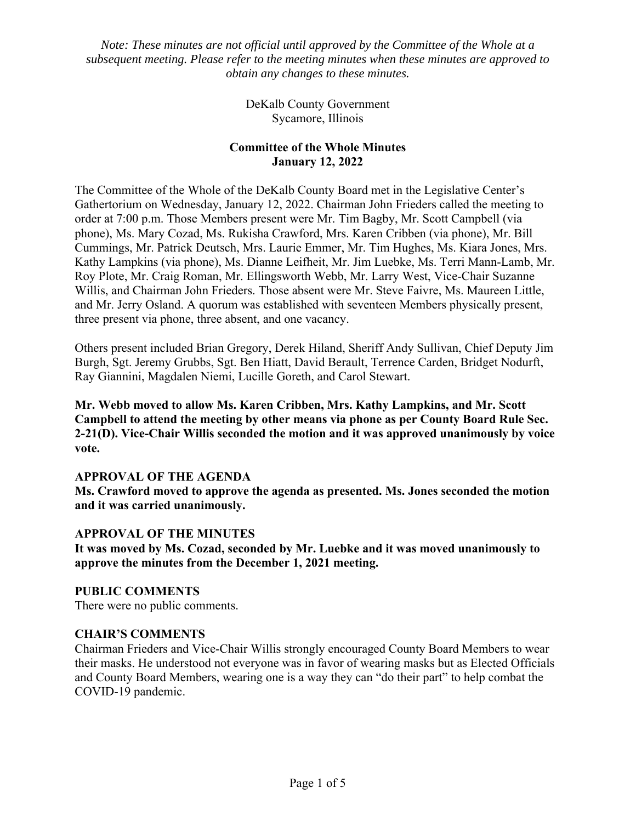*Note: These minutes are not official until approved by the Committee of the Whole at a subsequent meeting. Please refer to the meeting minutes when these minutes are approved to obtain any changes to these minutes.* 

> DeKalb County Government Sycamore, Illinois

# **Committee of the Whole Minutes January 12, 2022**

The Committee of the Whole of the DeKalb County Board met in the Legislative Center's Gathertorium on Wednesday, January 12, 2022. Chairman John Frieders called the meeting to order at 7:00 p.m. Those Members present were Mr. Tim Bagby, Mr. Scott Campbell (via phone), Ms. Mary Cozad, Ms. Rukisha Crawford, Mrs. Karen Cribben (via phone), Mr. Bill Cummings, Mr. Patrick Deutsch, Mrs. Laurie Emmer, Mr. Tim Hughes, Ms. Kiara Jones, Mrs. Kathy Lampkins (via phone), Ms. Dianne Leifheit, Mr. Jim Luebke, Ms. Terri Mann-Lamb, Mr. Roy Plote, Mr. Craig Roman, Mr. Ellingsworth Webb, Mr. Larry West, Vice-Chair Suzanne Willis, and Chairman John Frieders. Those absent were Mr. Steve Faivre, Ms. Maureen Little, and Mr. Jerry Osland. A quorum was established with seventeen Members physically present, three present via phone, three absent, and one vacancy.

Others present included Brian Gregory, Derek Hiland, Sheriff Andy Sullivan, Chief Deputy Jim Burgh, Sgt. Jeremy Grubbs, Sgt. Ben Hiatt, David Berault, Terrence Carden, Bridget Nodurft, Ray Giannini, Magdalen Niemi, Lucille Goreth, and Carol Stewart.

**Mr. Webb moved to allow Ms. Karen Cribben, Mrs. Kathy Lampkins, and Mr. Scott Campbell to attend the meeting by other means via phone as per County Board Rule Sec. 2-21(D). Vice-Chair Willis seconded the motion and it was approved unanimously by voice vote.** 

# **APPROVAL OF THE AGENDA**

**Ms. Crawford moved to approve the agenda as presented. Ms. Jones seconded the motion and it was carried unanimously.** 

### **APPROVAL OF THE MINUTES**

**It was moved by Ms. Cozad, seconded by Mr. Luebke and it was moved unanimously to approve the minutes from the December 1, 2021 meeting.** 

**PUBLIC COMMENTS**  There were no public comments.

### **CHAIR'S COMMENTS**

Chairman Frieders and Vice-Chair Willis strongly encouraged County Board Members to wear their masks. He understood not everyone was in favor of wearing masks but as Elected Officials and County Board Members, wearing one is a way they can "do their part" to help combat the COVID-19 pandemic.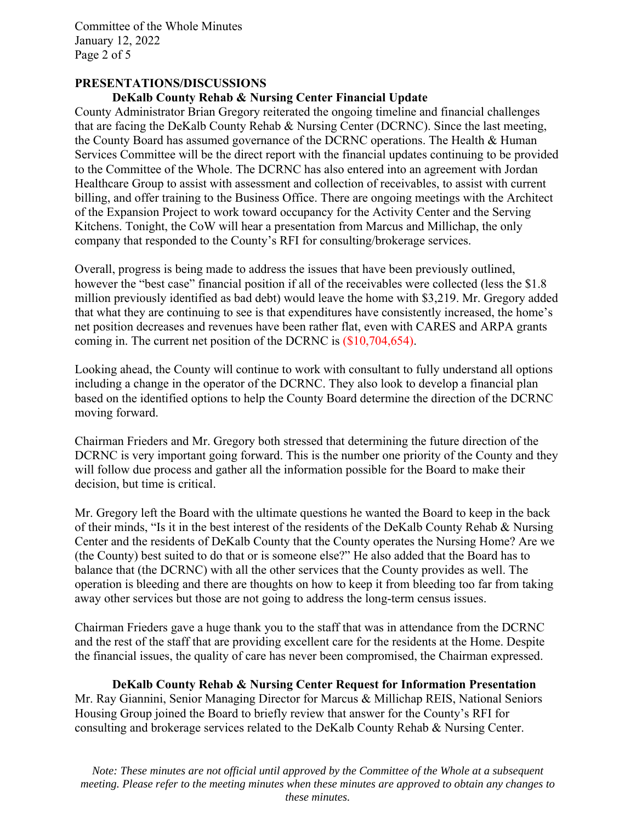Committee of the Whole Minutes January 12, 2022 Page 2 of 5

# **PRESENTATIONS/DISCUSSIONS**

### **DeKalb County Rehab & Nursing Center Financial Update**

County Administrator Brian Gregory reiterated the ongoing timeline and financial challenges that are facing the DeKalb County Rehab & Nursing Center (DCRNC). Since the last meeting, the County Board has assumed governance of the DCRNC operations. The Health & Human Services Committee will be the direct report with the financial updates continuing to be provided to the Committee of the Whole. The DCRNC has also entered into an agreement with Jordan Healthcare Group to assist with assessment and collection of receivables, to assist with current billing, and offer training to the Business Office. There are ongoing meetings with the Architect of the Expansion Project to work toward occupancy for the Activity Center and the Serving Kitchens. Tonight, the CoW will hear a presentation from Marcus and Millichap, the only company that responded to the County's RFI for consulting/brokerage services.

Overall, progress is being made to address the issues that have been previously outlined, however the "best case" financial position if all of the receivables were collected (less the \$1.8) million previously identified as bad debt) would leave the home with \$3,219. Mr. Gregory added that what they are continuing to see is that expenditures have consistently increased, the home's net position decreases and revenues have been rather flat, even with CARES and ARPA grants coming in. The current net position of the DCRNC is (\$10,704,654).

Looking ahead, the County will continue to work with consultant to fully understand all options including a change in the operator of the DCRNC. They also look to develop a financial plan based on the identified options to help the County Board determine the direction of the DCRNC moving forward.

Chairman Frieders and Mr. Gregory both stressed that determining the future direction of the DCRNC is very important going forward. This is the number one priority of the County and they will follow due process and gather all the information possible for the Board to make their decision, but time is critical.

Mr. Gregory left the Board with the ultimate questions he wanted the Board to keep in the back of their minds, "Is it in the best interest of the residents of the DeKalb County Rehab & Nursing Center and the residents of DeKalb County that the County operates the Nursing Home? Are we (the County) best suited to do that or is someone else?" He also added that the Board has to balance that (the DCRNC) with all the other services that the County provides as well. The operation is bleeding and there are thoughts on how to keep it from bleeding too far from taking away other services but those are not going to address the long-term census issues.

Chairman Frieders gave a huge thank you to the staff that was in attendance from the DCRNC and the rest of the staff that are providing excellent care for the residents at the Home. Despite the financial issues, the quality of care has never been compromised, the Chairman expressed.

 **DeKalb County Rehab & Nursing Center Request for Information Presentation**  Mr. Ray Giannini, Senior Managing Director for Marcus & Millichap REIS, National Seniors Housing Group joined the Board to briefly review that answer for the County's RFI for consulting and brokerage services related to the DeKalb County Rehab & Nursing Center.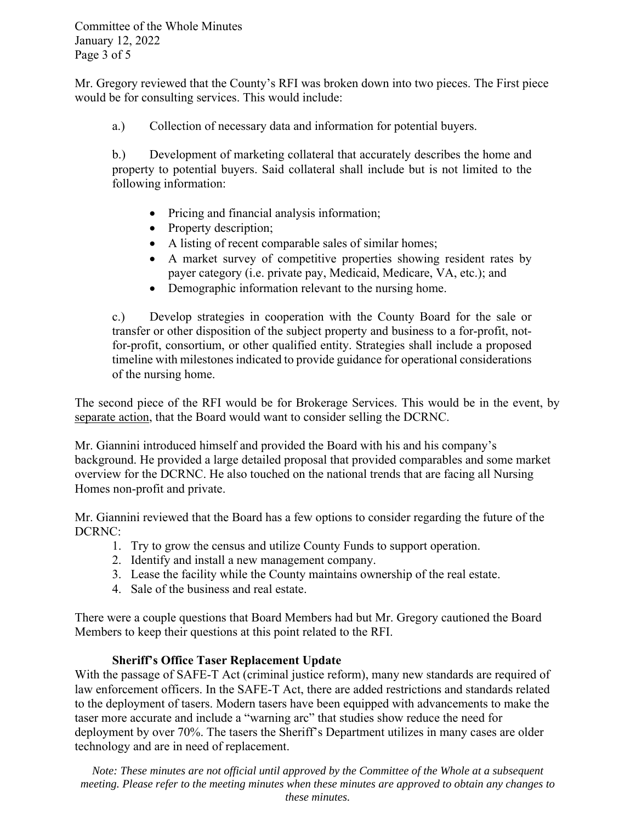Committee of the Whole Minutes January 12, 2022 Page 3 of 5

Mr. Gregory reviewed that the County's RFI was broken down into two pieces. The First piece would be for consulting services. This would include:

a.) Collection of necessary data and information for potential buyers.

b.) Development of marketing collateral that accurately describes the home and property to potential buyers. Said collateral shall include but is not limited to the following information:

- Pricing and financial analysis information;
- Property description;
- A listing of recent comparable sales of similar homes;
- A market survey of competitive properties showing resident rates by payer category (i.e. private pay, Medicaid, Medicare, VA, etc.); and
- Demographic information relevant to the nursing home.

c.) Develop strategies in cooperation with the County Board for the sale or transfer or other disposition of the subject property and business to a for-profit, notfor-profit, consortium, or other qualified entity. Strategies shall include a proposed timeline with milestones indicated to provide guidance for operational considerations of the nursing home.

The second piece of the RFI would be for Brokerage Services. This would be in the event, by separate action, that the Board would want to consider selling the DCRNC.

Mr. Giannini introduced himself and provided the Board with his and his company's background. He provided a large detailed proposal that provided comparables and some market overview for the DCRNC. He also touched on the national trends that are facing all Nursing Homes non-profit and private.

Mr. Giannini reviewed that the Board has a few options to consider regarding the future of the DCRNC:

- 1. Try to grow the census and utilize County Funds to support operation.
- 2. Identify and install a new management company.
- 3. Lease the facility while the County maintains ownership of the real estate.
- 4. Sale of the business and real estate.

There were a couple questions that Board Members had but Mr. Gregory cautioned the Board Members to keep their questions at this point related to the RFI.

# **Sheriff's Office Taser Replacement Update**

With the passage of SAFE-T Act (criminal justice reform), many new standards are required of law enforcement officers. In the SAFE-T Act, there are added restrictions and standards related to the deployment of tasers. Modern tasers have been equipped with advancements to make the taser more accurate and include a "warning arc" that studies show reduce the need for deployment by over 70%. The tasers the Sheriff's Department utilizes in many cases are older technology and are in need of replacement.

*Note: These minutes are not official until approved by the Committee of the Whole at a subsequent meeting. Please refer to the meeting minutes when these minutes are approved to obtain any changes to these minutes.*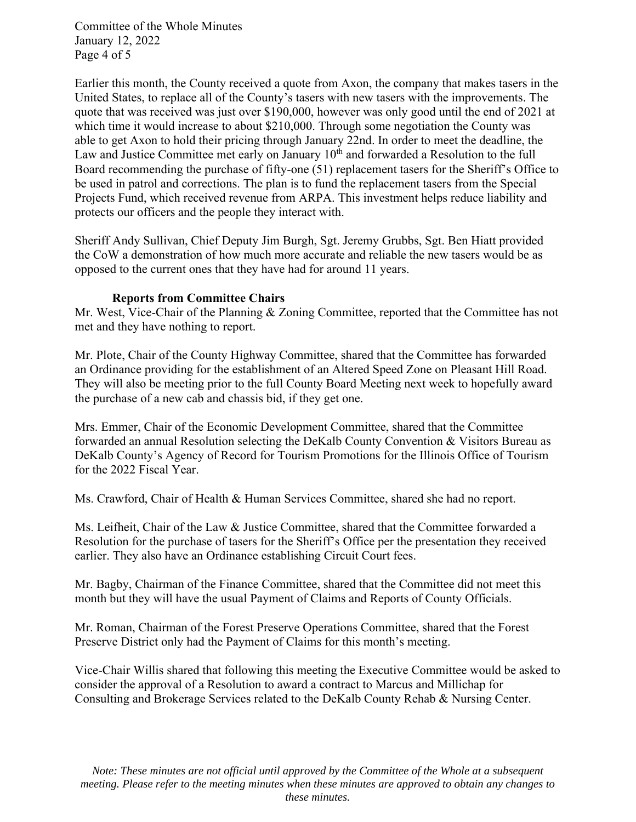Committee of the Whole Minutes January 12, 2022 Page 4 of 5

Earlier this month, the County received a quote from Axon, the company that makes tasers in the United States, to replace all of the County's tasers with new tasers with the improvements. The quote that was received was just over \$190,000, however was only good until the end of 2021 at which time it would increase to about \$210,000. Through some negotiation the County was able to get Axon to hold their pricing through January 22nd. In order to meet the deadline, the Law and Justice Committee met early on January  $10<sup>th</sup>$  and forwarded a Resolution to the full Board recommending the purchase of fifty-one (51) replacement tasers for the Sheriff's Office to be used in patrol and corrections. The plan is to fund the replacement tasers from the Special Projects Fund, which received revenue from ARPA. This investment helps reduce liability and protects our officers and the people they interact with.

Sheriff Andy Sullivan, Chief Deputy Jim Burgh, Sgt. Jeremy Grubbs, Sgt. Ben Hiatt provided the CoW a demonstration of how much more accurate and reliable the new tasers would be as opposed to the current ones that they have had for around 11 years.

### **Reports from Committee Chairs**

Mr. West, Vice-Chair of the Planning & Zoning Committee, reported that the Committee has not met and they have nothing to report.

Mr. Plote, Chair of the County Highway Committee, shared that the Committee has forwarded an Ordinance providing for the establishment of an Altered Speed Zone on Pleasant Hill Road. They will also be meeting prior to the full County Board Meeting next week to hopefully award the purchase of a new cab and chassis bid, if they get one.

Mrs. Emmer, Chair of the Economic Development Committee, shared that the Committee forwarded an annual Resolution selecting the DeKalb County Convention & Visitors Bureau as DeKalb County's Agency of Record for Tourism Promotions for the Illinois Office of Tourism for the 2022 Fiscal Year.

Ms. Crawford, Chair of Health & Human Services Committee, shared she had no report.

Ms. Leifheit, Chair of the Law & Justice Committee, shared that the Committee forwarded a Resolution for the purchase of tasers for the Sheriff's Office per the presentation they received earlier. They also have an Ordinance establishing Circuit Court fees.

Mr. Bagby, Chairman of the Finance Committee, shared that the Committee did not meet this month but they will have the usual Payment of Claims and Reports of County Officials.

Mr. Roman, Chairman of the Forest Preserve Operations Committee, shared that the Forest Preserve District only had the Payment of Claims for this month's meeting.

Vice-Chair Willis shared that following this meeting the Executive Committee would be asked to consider the approval of a Resolution to award a contract to Marcus and Millichap for Consulting and Brokerage Services related to the DeKalb County Rehab & Nursing Center.